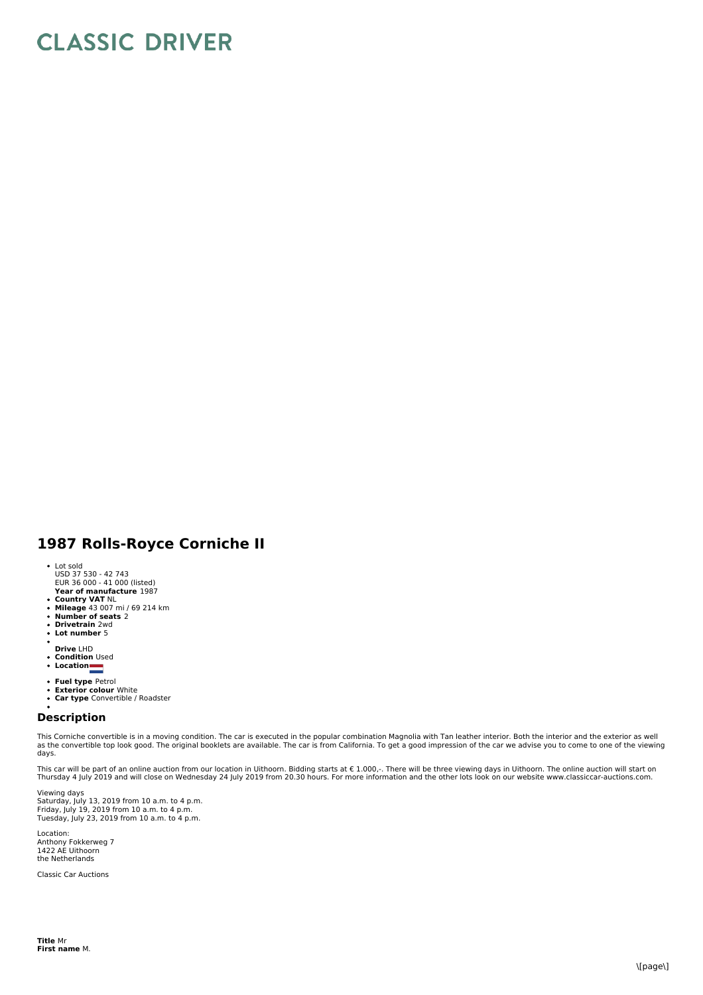## **CLASSIC DRIVER**

## **1987 Rolls-Royce Corniche II**

- 
- Lot sold USD 37 530 42 743 EUR 36 000 41 000 (listed)
- **Year of manufacture** 1987
- 
- **Country VAT** NL **Mileage** 43 007 mi / 69 214 km **Number of seats** 2 **Drivetrain** 2wd
- 
- **Lot number** 5
- 
- **Drive** LHD
- **Condition** Used
- **Location**
- **Fuel type** Petrol
- **Exterior colour** White **Car type** Convertible / Roadster
- 

## **Description**

This Corniche convertible is in a moving condition. The car is executed in the popular combination Magnolia with Tan leather interior. Both the interior and the exterior as well as the convertible top look good. The original booklets are available. The car is from California. To get a good impression of the car we advise you to come to one of the viewing days.

This car will be part of an online auction from our location in Uithoorn. Bidding starts at € 1.000,-. There will be three viewing days in Uithoorn. The online auction will start on<br>Thursday 4 July 2019 and will close on

Viewing days Saturday, July 13, 2019 from 10 a.m. to 4 p.m.<br>Friday, July 19, 2019 from 10 a.m. to 4 p.m.<br>Tuesday, July 23, 2019 from 10 a.m. to 4 p.m.

Location: Anthony Fokkerweg 7 1422 AE Uithoorn the Netherlands

Classic Car Auctions